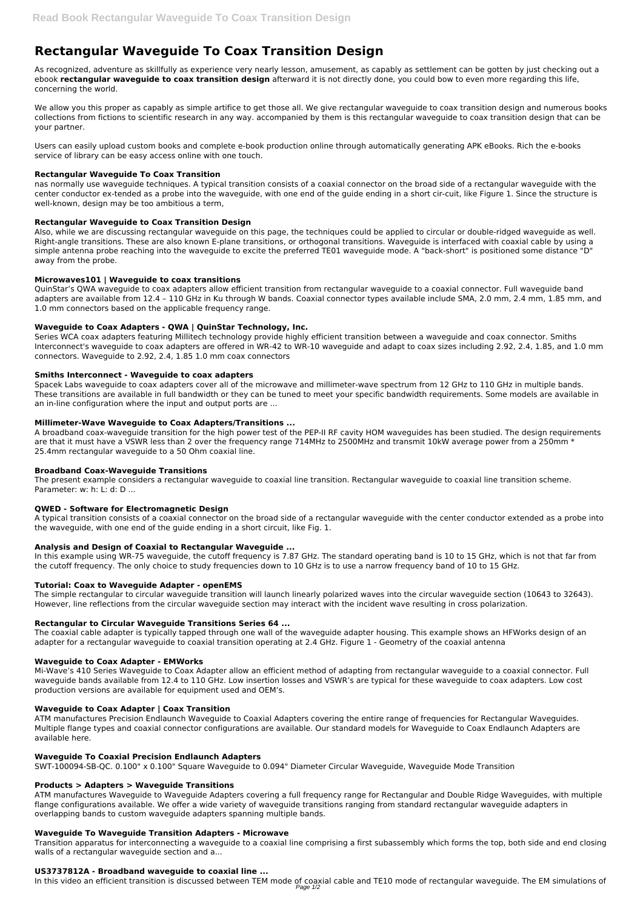# **Rectangular Waveguide To Coax Transition Design**

As recognized, adventure as skillfully as experience very nearly lesson, amusement, as capably as settlement can be gotten by just checking out a ebook **rectangular waveguide to coax transition design** afterward it is not directly done, you could bow to even more regarding this life, concerning the world.

We allow you this proper as capably as simple artifice to get those all. We give rectangular waveguide to coax transition design and numerous books collections from fictions to scientific research in any way. accompanied by them is this rectangular waveguide to coax transition design that can be your partner.

Users can easily upload custom books and complete e-book production online through automatically generating APK eBooks. Rich the e-books service of library can be easy access online with one touch.

## **Rectangular Waveguide To Coax Transition**

nas normally use waveguide techniques. A typical transition consists of a coaxial connector on the broad side of a rectangular waveguide with the center conductor ex-tended as a probe into the waveguide, with one end of the guide ending in a short cir-cuit, like Figure 1. Since the structure is well-known, design may be too ambitious a term,

# **Rectangular Waveguide to Coax Transition Design**

Also, while we are discussing rectangular waveguide on this page, the techniques could be applied to circular or double-ridged waveguide as well. Right-angle transitions. These are also known E-plane transitions, or orthogonal transitions. Waveguide is interfaced with coaxial cable by using a simple antenna probe reaching into the waveguide to excite the preferred TE01 waveguide mode. A "back-short" is positioned some distance "D" away from the probe.

The present example considers a rectangular waveguide to coaxial line transition. Rectangular waveguide to coaxial line transition scheme. Parameter: w: h: L: d: D ...

# **Microwaves101 | Waveguide to coax transitions**

QuinStar's QWA waveguide to coax adapters allow efficient transition from rectangular waveguide to a coaxial connector. Full waveguide band adapters are available from 12.4 – 110 GHz in Ku through W bands. Coaxial connector types available include SMA, 2.0 mm, 2.4 mm, 1.85 mm, and 1.0 mm connectors based on the applicable frequency range.

# **Waveguide to Coax Adapters - QWA | QuinStar Technology, Inc.**

Series WCA coax adapters featuring Millitech technology provide highly efficient transition between a waveguide and coax connector. Smiths Interconnect's waveguide to coax adapters are offered in WR-42 to WR-10 waveguide and adapt to coax sizes including 2.92, 2.4, 1.85, and 1.0 mm connectors. Waveguide to 2.92, 2.4, 1.85 1.0 mm coax connectors

## **Smiths Interconnect - Waveguide to coax adapters**

Spacek Labs waveguide to coax adapters cover all of the microwave and millimeter-wave spectrum from 12 GHz to 110 GHz in multiple bands. These transitions are available in full bandwidth or they can be tuned to meet your specific bandwidth requirements. Some models are available in an in-line configuration where the input and output ports are ...

## **Millimeter-Wave Waveguide to Coax Adapters/Transitions ...**

A broadband coax-waveguide transition for the high power test of the PEP-II RF cavity HOM waveguides has been studied. The design requirements are that it must have a VSWR less than 2 over the frequency range 714MHz to 2500MHz and transmit 10kW average power from a 250mm  $*$ 25.4mm rectangular waveguide to a 50 Ohm coaxial line.

# **Broadband Coax-Waveguide Transitions**

# **QWED - Software for Electromagnetic Design**

A typical transition consists of a coaxial connector on the broad side of a rectangular waveguide with the center conductor extended as a probe into the waveguide, with one end of the guide ending in a short circuit, like Fig. 1.

# **Analysis and Design of Coaxial to Rectangular Waveguide ...**

In this example using WR-75 waveguide, the cutoff frequency is 7.87 GHz. The standard operating band is 10 to 15 GHz, which is not that far from the cutoff frequency. The only choice to study frequencies down to 10 GHz is to use a narrow frequency band of 10 to 15 GHz.

## **Tutorial: Coax to Waveguide Adapter - openEMS**

The simple rectangular to circular waveguide transition will launch linearly polarized waves into the circular waveguide section (10643 to 32643). However, line reflections from the circular waveguide section may interact with the incident wave resulting in cross polarization.

## **Rectangular to Circular Waveguide Transitions Series 64 ...**

The coaxial cable adapter is typically tapped through one wall of the waveguide adapter housing. This example shows an HFWorks design of an adapter for a rectangular waveguide to coaxial transition operating at 2.4 GHz. Figure 1 - Geometry of the coaxial antenna

## **Waveguide to Coax Adapter - EMWorks**

Mi-Wave's 410 Series Waveguide to Coax Adapter allow an efficient method of adapting from rectangular waveguide to a coaxial connector. Full waveguide bands available from 12.4 to 110 GHz. Low insertion losses and VSWR's are typical for these waveguide to coax adapters. Low cost

production versions are available for equipment used and OEM's.

#### **Waveguide to Coax Adapter | Coax Transition**

ATM manufactures Precision Endlaunch Waveguide to Coaxial Adapters covering the entire range of frequencies for Rectangular Waveguides. Multiple flange types and coaxial connector configurations are available. Our standard models for Waveguide to Coax Endlaunch Adapters are available here.

#### **Waveguide To Coaxial Precision Endlaunch Adapters**

SWT-100094-SB-QC. 0.100" x 0.100" Square Waveguide to 0.094" Diameter Circular Waveguide, Waveguide Mode Transition

#### **Products > Adapters > Waveguide Transitions**

ATM manufactures Waveguide to Waveguide Adapters covering a full frequency range for Rectangular and Double Ridge Waveguides, with multiple flange configurations available. We offer a wide variety of waveguide transitions ranging from standard rectangular waveguide adapters in overlapping bands to custom waveguide adapters spanning multiple bands.

#### **Waveguide To Waveguide Transition Adapters - Microwave**

Transition apparatus for interconnecting a waveguide to a coaxial line comprising a first subassembly which forms the top, both side and end closing walls of a rectangular waveguide section and a...

#### **US3737812A - Broadband waveguide to coaxial line ...**

In this video an efficient transition is discussed between TEM mode of coaxial cable and TE10 mode of rectangular waveguide. The EM simulations of Page 1/2